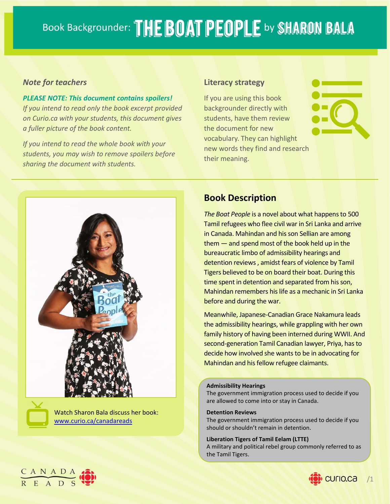### *Note for teachers*

*PLEASE NOTE: This document contains spoilers! If you intend to read only the book excerpt provided on Curio.ca with your students, this document gives a fuller picture of the book content.*

*If you intend to read the whole book with your students, you may wish to remove spoilers before sharing the document with students.*

### **Literacy strategy**

If you are using this book backgrounder directly with students, have them review the document for new vocabulary. They can highlight new words they find and research their meaning.



Watch Sharon Bala discuss her book: www.curio.ca/canadareads

# **Book Description**

**The Boat People is a novel about what happens to 500** Tamil refugees who flee civil war in Sri Lanka and arrive in Canada. Mahindan and his son Sellian are among  $them - and spend most of the book held up in the$ bureaucratic limbo of admissibility hearings and detention reviews, amidst fears of violence by Tamil Tigers believed to be on board their boat. During this time spent in detention and separated from his son, Mahindan remembers hislife as a mechanic in Sri Lanka before and during the war.

Meanwhile, Japanese‐Canadian Grace Nakamura leads the admissibility hearings, while grappling with her own family history of having been interned during WWII. And second-generation Tamil Canadian lawyer, Priya, has to decide how involved she wants to be in advocating for Mahindan and his fellow refugee claimants.

#### **Admissibility Hearings**

The government immigration process used to decide if you are allowed to come into or stay in Canada.

#### **Detention Reviews**

the Tamil Tigers.

The government immigration process used to decide if you should or shouldn't remain in detention.

**Liberation Tigers of Tamil Eelam (LTTE)** A military and political rebel group commonly referred to as



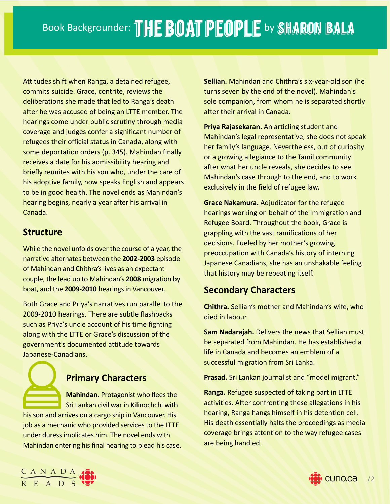Attitudes shift when Ranga, a detained refugee, commits suicide. Grace, contrite, reviews the deliberations she made that led to Ranga's death after he was accused of being an LTTE member. The hearings come under public scrutiny through media coverage and judges confer a significant number of refugees their official status in Canada, along with some deportation orders (p. 345). Mahindan finally receives a date for his admissibility hearing and briefly reunites with his son who, under the care of his adoptive family, now speaks English and appears to be in good health. The novel ends as Mahindan's hearing begins, nearly a year after his arrival in Canada.

### **Structure**

While the novel unfolds over the course of a year, the narrative alternates between the **2002‐2003** episode of Mahindan and Chithra's lives as an expectant couple, the lead up to Mahindan's **2008** migration by boat, and the **2009‐2010** hearingsin Vancouver.

Both Grace and Priya's narratives run parallel to the 2009‐2010 hearings. There are subtle flashbacks such as Priya's uncle account of his time fighting along with the LTTE or Grace's discussion of the government's documented attitude towards Japanese‐Canadians.

# **Primary Characters**

**Mahindan.** Protagonist who flees the Sri Lankan civil war in Kilinochchi with his son and arrives on a cargo ship in Vancouver. His job as a mechanic who provided services to the LTTE under duressimplicates him. The novel ends with Mahindan entering his final hearing to plead his case. **Sellian.** Mahindan and Chithra's six‐year‐old son (he turns seven by the end of the novel). Mahindan's sole companion, from whom he is separated shortly after their arrival in Canada.

**Priya Rajasekaran.** An articling student and Mahindan's legal representative, she does not speak her family's language. Nevertheless, out of curiosity or a growing allegiance to the Tamil community after what her uncle reveals, she decides to see Mahindan's case through to the end, and to work exclusively in the field of refugee law.

**Grace Nakamura.** Adjudicator for the refugee hearings working on behalf of the Immigration and Refugee Board. Throughout the book, Grace is grappling with the vast ramifications of her decisions. Fueled by her mother's growing preoccupation with Canada's history of interning Japanese Canadians, she has an unshakable feeling that history may be repeating itself.

# **Secondary Characters**

**Chithra.** Sellian's mother and Mahindan's wife, who died in labour.

**Sam Nadarajah.** Delivers the news that Sellian must be separated from Mahindan. He has established a life in Canada and becomes an emblem of a successful migration from Sri Lanka.

**Prasad.** Sri Lankan journalist and "model migrant."

**Ranga.** Refugee suspected of taking part in LTTE activities. After confronting these allegations in his hearing, Ranga hangs himself in his detention cell. His death essentially halts the proceedings as media coverage brings attention to the way refugee cases are being handled.



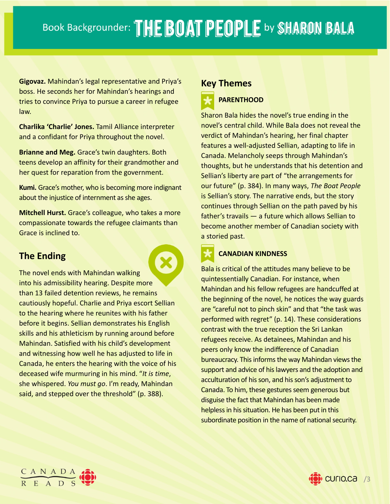**Gigovaz.** Mahindan's legal representative and Priya's boss. He seconds her for Mahindan's hearings and tries to convince Priya to pursue a career in refugee law.

**Charlika 'Charlie' Jones.** Tamil Alliance interpreter and a confidant for Priya throughout the novel.

**Brianne and Meg.** Grace's twin daughters. Both teens develop an affinity for their grandmother and her quest for reparation from the government.

**Kumi.** Grace's mother, who is becoming more indignant about the injustice of internment as she ages.

**Mitchell Hurst.** Grace's colleague, who takes a more compassionate towards the refugee claimants than Grace is inclined to.

# **The Ending**

The novel ends with Mahindan walking into his admissibility hearing. Despite more than 13 failed detention reviews, he remains cautiously hopeful. Charlie and Priya escort Sellian to the hearing where he reunites with his father before it begins. Sellian demonstrates his English skills and his athleticism by running around before Mahindan. Satisfied with his child's development and witnessing how well he has adjusted to life in Canada, he enters the hearing with the voice of his deceased wife murmuring in his mind. "*It is time*, she whispered. *You must go*. I'm ready, Mahindan said, and stepped over the threshold" (p. 388).

### **Key Themes**

# **PARENTHOOD**

Sharon Bala hides the novel's true ending in the novel's central child. While Bala does not reveal the verdict of Mahindan's hearing, her final chapter features a well-adjusted Sellian, adapting to life in Canada. Melancholy seeps through Mahindan's thoughts, but he understands that his detention and Sellian's liberty are part of "the arrangements for our future" (p. 384). In many ways, *The Boat People* is Sellian's story. The narrative ends, but the story continues through Sellian on the path paved by his father's travails — a future which allows Sellian to become another member of Canadian society with a storied past.

# **CANADIAN KINDNESS**

Bala is critical of the attitudes many believe to be quintessentially Canadian. For instance, when Mahindan and his fellow refugees are handcuffed at the beginning of the novel, he notices the way guards are "careful not to pinch skin" and that "the task was performed with regret" (p. 14). These considerations contrast with the true reception the Sri Lankan refugees receive. As detainees, Mahindan and his peers only know the indifference of Canadian bureaucracy. This informs the way Mahindan views the support and advice of his lawyers and the adoption and acculturation of his son, and his son's adjustment to Canada. To him, these gestures seem generous but disguise the fact that Mahindan has been made helpless in his situation. He has been put in this subordinate position in the name of national security.



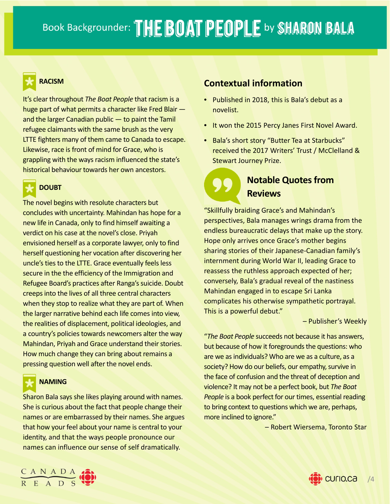

### **RACISM**

It's clear throughout *The Boat People* that racism is a huge part of what permits a character like Fred Blair and the larger Canadian public — to paint the Tamil refugee claimants with the same brush as the very LTTE fighters many of them came to Canada to escape. Likewise, race is front of mind for Grace, who is grappling with the ways racism influenced the state's historical behaviour towards her own ancestors.



### **DOUBT**

The novel begins with resolute characters but concludes with uncertainty. Mahindan has hope for a new life in Canada, only to find himself awaiting a verdict on his case at the novel's close. Priyah envisioned herself as a corporate lawyer, only to find herself questioning her vocation after discovering her uncle's ties to the LTTE. Grace eventually feels less secure in the the efficiency of the Immigration and Refugee Board's practices after Ranga's suicide. Doubt creepsinto the lives of all three central characters when they stop to realize what they are part of. When the larger narrative behind each life comes into view, the realities of displacement, political ideologies, and a country's policies towards newcomers alter the way Mahindan, Priyah and Grace understand their stories. How much change they can bring about remains a pressing question well after the novel ends.



### **NAMING**

Sharon Bala says she likes playing around with names. She is curious about the fact that people change their names or are embarrassed by their names. She argues that how your feel about your name is central to your identity, and that the ways people pronounce our names can influence our sense of self dramatically.

### **Contextual information**

- Published in 2018, this is Bala's debut as a novelist.
- It won the 2015 Percy Janes First Novel Award.
- Bala's short story "Butter Tea at Starbucks" received the 2017 Writers' Trust / McClelland & Stewart Journey Prize.

# **Notable Quotes from Reviews**

"Skillfully braiding Grace's and Mahindan's perspectives, Bala manages wrings drama from the endless bureaucratic delays that make up the story. Hope only arrives once Grace's mother begins sharing stories of their Japanese‐Canadian family's internment during World War II, leading Grace to reassess the ruthless approach expected of her; conversely, Bala's gradual reveal of the nastiness Mahindan engaged in to escape Sri Lanka complicates his otherwise sympathetic portrayal. This is a powerful debut."

– Publisher's Weekly

"*The Boat People* succeeds not because it has answers, but because of how it foregrounds the questions: who are we as individuals? Who are we as a culture, as a society? How do our beliefs, our empathy, survive in the face of confusion and the threat of deception and violence? It may not be a perfect book, but *The Boat People* is a book perfect for our times, essential reading to bring context to questions which we are, perhaps, more inclined to ignore."

– Robert Wiersema, Toronto Star



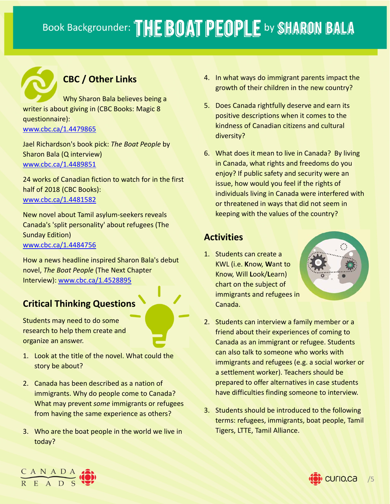# **CBC / Other Links**

Why Sharon Bala believes being a writer is about giving in (CBC Books: Magic 8 questionnaire):

www.cbc.ca/1.4479865

Jael Richardson's book pick: *The Boat People* by Sharon Bala (Q interview) www.cbc.ca/1.4489851

24 works of Canadian fiction to watch for in the first half of 2018 (CBC Books): www.cbc.ca/1.4481582

New novel about Tamil asylum‐seekers reveals Canada's 'split personality' about refugees (The Sunday Edition) www.cbc.ca/1.4484756

How a news headline inspired Sharon Bala's debut novel, *The Boat People* (The Next Chapter Interview): www.cbc.ca/1.4528895

# **Critical Thinking Questions**

Students may need to do some research to help them create and organize an answer.

- 1. Look at the title of the novel. What could the story be about?
- 2. Canada has been described as a nation of immigrants. Why do people come to Canada? What may prevent *some* immigrants or refugees from having the same experience as others?
- 3. Who are the boat people in the world we live in today?
- 4. In what ways do immigrant parents impact the growth of their children in the new country?
- 5. Does Canada rightfully deserve and earn its positive descriptions when it comes to the kindness of Canadian citizens and cultural diversity?
- 6. What does it mean to live in Canada? By living in Canada, what rights and freedoms do you enjoy? If public safety and security were an issue, how would you feel if the rights of individuals living in Canada were interfered with or threatened in ways that did not seem in keeping with the values of the country?

# **Activities**

1. Students can create a KWL (i.e. **K**now, **W**ant to Know, Will **L**ook/**L**earn) chart on the subject of immigrants and refugees in Canada.



- 2. Students can interview a family member or a friend about their experiences of coming to Canada as an immigrant or refugee. Students can also talk to someone who works with immigrants and refugees (e.g. a social worker or a settlement worker). Teachers should be prepared to offer alternatives in case students have difficulties finding someone to interview.
- 3. Students should be introduced to the following terms: refugees, immigrants, boat people, Tamil Tigers, LTTE, Tamil Alliance.